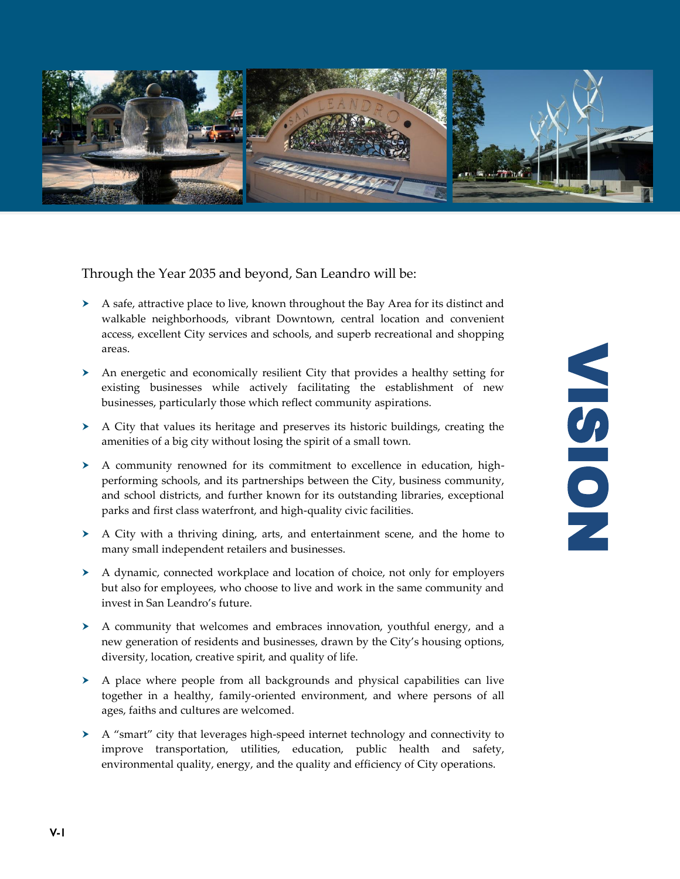

Through the Year 2035 and beyond, San Leandro will be:

- $\triangleright$  A safe, attractive place to live, known throughout the Bay Area for its distinct and walkable neighborhoods, vibrant Downtown, central location and convenient access, excellent City services and schools, and superb recreational and shopping areas.
- An energetic and economically resilient City that provides a healthy setting for existing businesses while actively facilitating the establishment of new businesses, particularly those which reflect community aspirations.
- $\triangleright$  A City that values its heritage and preserves its historic buildings, creating the amenities of a big city without losing the spirit of a small town.
- A community renowned for its commitment to excellence in education, highperforming schools, and its partnerships between the City, business community, and school districts, and further known for its outstanding libraries, exceptional parks and first class waterfront, and high-quality civic facilities.
- A City with a thriving dining, arts, and entertainment scene, and the home to many small independent retailers and businesses.
- A dynamic, connected workplace and location of choice, not only for employers but also for employees, who choose to live and work in the same community and invest in San Leandro's future.
- $\triangleright$  A community that welcomes and embraces innovation, youthful energy, and a new generation of residents and businesses, drawn by the City's housing options, diversity, location, creative spirit, and quality of life.
- $\triangleright$  A place where people from all backgrounds and physical capabilities can live together in a healthy, family-oriented environment, and where persons of all ages, faiths and cultures are welcomed.
- A "smart" city that leverages high-speed internet technology and connectivity to improve transportation, utilities, education, public health and safety, environmental quality, energy, and the quality and efficiency of City operations.